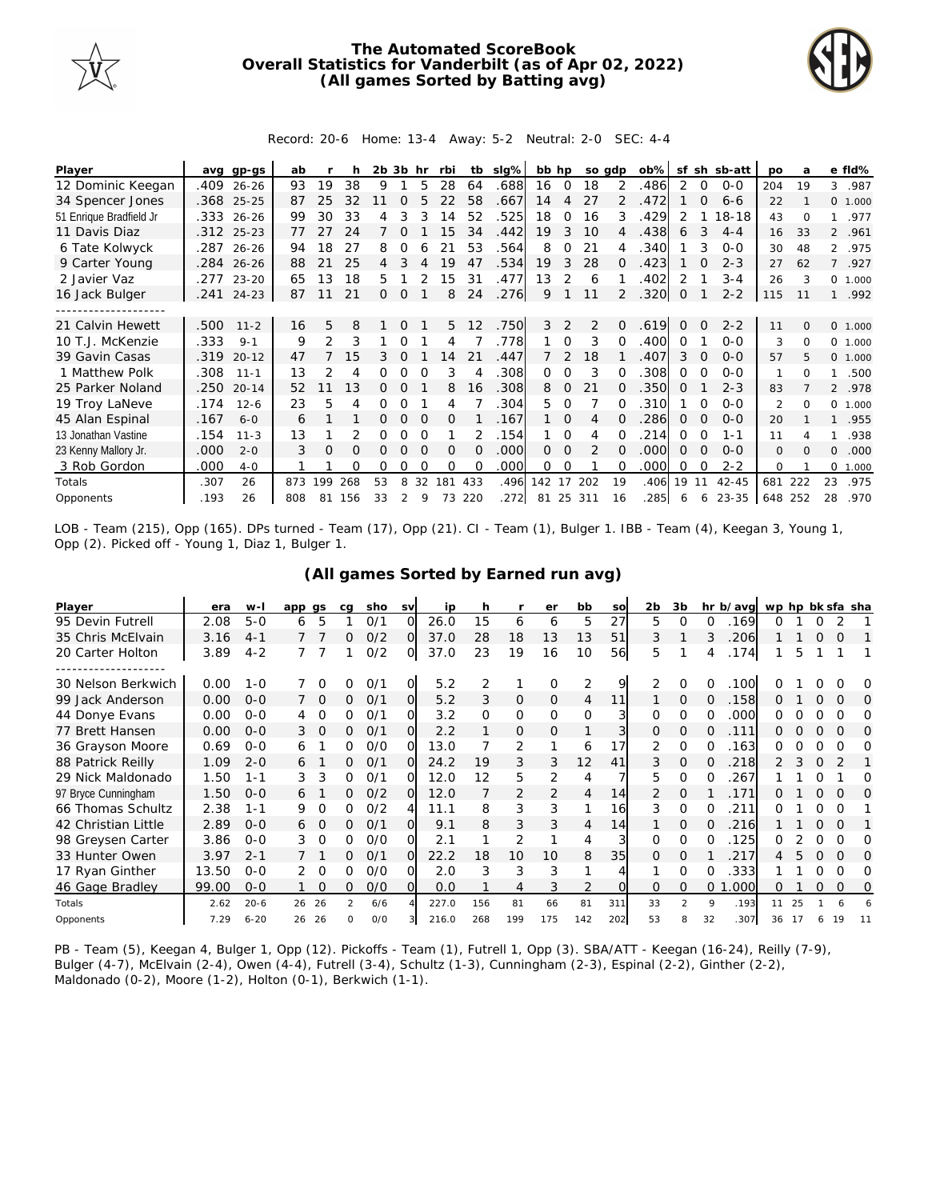

## **The Automated ScoreBook Overall Statistics for Vanderbilt (as of Apr 02, 2022) (All games Sorted by Batting avg)**



## Record: 20-6 Home: 13-4 Away: 5-2 Neutral: 2-0 SEC: 4-4

| Player                  | avq  | gp-gs      | ab  |               |     | 2b | -3b      | hr       | rbi      | tb       | slg% | bb hp |               | so adp        |          | $ob\%$ | sf       | sh       | sb-att    | <b>DO</b>    | a        |                | e fld%  |
|-------------------------|------|------------|-----|---------------|-----|----|----------|----------|----------|----------|------|-------|---------------|---------------|----------|--------|----------|----------|-----------|--------------|----------|----------------|---------|
| 12 Dominic Keegan       | .409 | $26 - 26$  | 93  | 19            | 38  | 9  |          | 5        | 28       | 64       | .688 | 16    | $\circ$       | 18            | 2        | .486   | 2        | 0        | $0 - 0$   | 204          | 19       | 3              | .987    |
| 34 Spencer Jones        |      | .368 25-25 | 87  | 25            | 32  |    |          |          |          | 58       | .667 | 14    | 4             | 27            |          | .472   |          | $\Omega$ | $6 - 6$   | 22           |          |                | 0 1.000 |
| 51 Enrique Bradfield Jr | .333 | $26 - 26$  | 99  | 30            | 33  | 4  |          |          | 14       | 52       | 525  | 18    | 0             | 16            | 3        | 429    | 2        |          | $18 - 18$ | 43           | $\Omega$ |                | .977    |
| 11 Davis Diaz           |      | .312 25-23 | 77  | 27            | 24  |    | Ω        |          | 15       | 34       | .442 | 19    | 3             | 10            | 4        | .438   | 6        | 3        | $4 - 4$   | 16           | 33       |                | 2 .961  |
| 6 Tate Kolwyck          | .287 | $26 - 26$  | 94  | 18            | 27  | 8  | Ω        |          |          | 53       | .564 | 8     | 0             | 21            | 4        | .340   |          | 3        | $O-O$     | 30           | 48       |                | 2 .975  |
| 9 Carter Young          | .284 | $26 - 26$  | 88  | 21            | 25  | 4  |          |          | 19       | 47       | .534 | 19    | 3             | 28            | 0        | .423   |          |          | $2 - 3$   | 27           | 62       | $\overline{7}$ | .927    |
| 2 Javier Vaz            | .277 | $23 - 20$  | 65  | 13            | 18  | 5  |          |          | 15       | 31       | .477 | 13    | 2             | 6             |          | .402   |          |          | $3 - 4$   | 26           | 3        | $\circ$        | 1.000   |
| 16 Jack Bulger          |      | .241 24-23 | 87  | 11            | 21  | 0  | 0        |          | 8        | 24       | .276 | 9     |               | 11            | 2        | .320   | 0        |          | $2 - 2$   | 115          | 11       |                | .992    |
|                         |      |            |     |               |     |    |          |          |          |          |      |       |               |               |          |        |          |          |           |              |          |                |         |
| 21 Calvin Hewett        | .500 | $11 - 2$   | 16  | 5             | 8   |    | 0        |          | 5        | 12       | .750 | 3     | 2             | 2             | $\Omega$ | .619   | $\Omega$ | $\Omega$ | $2 - 2$   | 11           | $\Omega$ |                | 0 1.000 |
| 10 T.J. McKenzie        | .333 | $9 - 1$    | 9   | $\mathcal{P}$ | 3   |    |          |          | 4        |          | .778 |       | $\Omega$      | 3             |          | .400   | 0        |          | $O-O$     | 3            | $\Omega$ | $\Omega$       | 1.000   |
| 39 Gavin Casas          | .319 | $20 - 12$  | 47  |               | 15  |    |          |          | 14       | 21       | .447 |       | $\mathcal{P}$ | 18            |          | .407   | 3        |          | $0 - 0$   | 57           | 5        | $\circ$        | 1.000   |
| 1 Matthew Polk          | .308 | $11 - 1$   | 13  | 2             | 4   | 0  | Ω        |          | 3        |          | .308 | 0     | 0             | 3             | 0        | .308   | Ω        | 0        | $0 - 0$   | 1            | $\Omega$ | 1              | .500    |
| 25 Parker Noland        | .250 | $20 - 14$  | 52  |               | 13  | 0  | $\Omega$ |          | 8        | 16       | .308 | 8     | 0             | 21            | 0        | .350   | 0        |          | $2 - 3$   | 83           |          |                | 2 .978  |
| 19 Troy LaNeve          | .174 | $12 - 6$   | 23  | 5             | 4   | Ω  |          |          | 4        |          | .304 | 5.    | 0             |               |          | .310   |          |          | $0 - 0$   | 2            | $\Omega$ | 0              | 1.000   |
| 45 Alan Espinal         | .167 | $6 - 0$    | 6   |               |     | 0  | $\Omega$ | $\Omega$ | 0        |          | .167 |       | $\Omega$      | 4             |          | 286    | 0        | $\Omega$ | $O-O$     | 20           |          |                | .955    |
| 13 Jonathan Vastine     | .154 | $11 - 3$   | 13  |               |     | Ω  | O        |          |          |          | .154 |       | $\Omega$      | 4             |          | .214   | Ω        | O        | $1 - 1$   | 11           |          |                | .938    |
| 23 Kenny Mallory Jr.    | .000 | $2 - 0$    | 3   | $\Omega$      | O   | Ω  | $\Omega$ | $\Omega$ | $\Omega$ | $\Omega$ | .000 | 0     | $\Omega$      | $\mathcal{P}$ | $\Omega$ | .000   | $\Omega$ | $\Omega$ | $O-O$     | $\mathbf{0}$ | $\Omega$ | $\Omega$       | .000    |
| 3 Rob Gordon            | .000 | $4-0$      |     |               | O   | Ω  | Ω        |          | O        |          | .000 | 0     | 0             |               |          | .000   | Ω        | ∩        | $2 - 2$   | $\Omega$     |          | $\Omega$       | 1.000   |
| Totals                  | .307 | 26         | 873 | 199           | 268 | 53 | 8        | 32       | 181      | 433      | .496 | 142   | 17            | 202           | 19       | .406   | 19       | 11       | $42 - 45$ | 681          | 222      | 23             | .975    |
| Opponents               | .193 | 26         | 808 | 81            | 156 | 33 | 2        | 9        | 73       | 220      | .272 | 81    |               | 25 311        | 16       | .285   | 6        | 6        | 23-35     | 648          | 252      | 28             | .970    |

LOB - Team (215), Opp (165). DPs turned - Team (17), Opp (21). CI - Team (1), Bulger 1. IBB - Team (4), Keegan 3, Young 1, Opp (2). Picked off - Young 1, Diaz 1, Bulger 1.

## **(All games Sorted by Earned run avg)**

| Player              | era   | $W -$    | app qs |          | ca           | sho | <b>SV</b> | ip    | h        |          | er             | bb             | <b>SO</b> | 2b       | 3b            |                | hr b/avg | wp hp bk sfa sha |    |          |          |          |
|---------------------|-------|----------|--------|----------|--------------|-----|-----------|-------|----------|----------|----------------|----------------|-----------|----------|---------------|----------------|----------|------------------|----|----------|----------|----------|
| 95 Devin Futrell    | 2.08  | $5 - 0$  | 6      | 5        |              | O/1 | $\Omega$  | 26.0  | 15       | 6        | 6              | 5              | 27        | 5.       | O             | 0              | 169      | O                |    |          |          |          |
| 35 Chris McElvain   | 3.16  | $4 - 1$  |        |          | 0            | O/2 | $\Omega$  | 37.0  | 28       | 18       | 13             | 13             | 51        | 3        |               | 3              | 206      |                  |    | O        | O        |          |
| 20 Carter Holton    | 3.89  | $4 - 2$  |        |          |              | O/2 | 0         | 37.0  | 23       | 19       | 16             | 10             | <b>56</b> | 5.       |               | 4              | .174     |                  | 5  |          |          |          |
|                     |       |          |        |          |              |     |           |       |          |          |                |                |           |          |               |                |          |                  |    |          |          |          |
| 30 Nelson Berkwich  | 0.00  | $1 - 0$  |        | 0        | O            | 0/1 | Ω         | 5.2   |          |          | $\Omega$       | 2              | 9         |          | 0             | 0              | .100     |                  |    |          |          | O        |
| 99 Jack Anderson    | 0.00  | $O - O$  |        | $\Omega$ | 0            | O/1 | $\Omega$  | 5.2   | 3        | $\Omega$ | $\Omega$       | $\overline{4}$ | 11        |          | $\Omega$      | $\Omega$       | .158     | 0                |    | O        | $\Omega$ | O        |
| 44 Donye Evans      | 0.00  | $0 - 0$  | 4      | 0        | 0            | O/1 | $\Omega$  | 3.2   | $\Omega$ | 0        | 0              | $\Omega$       | 3         | $\Omega$ | $\Omega$      | 0              | .000     | 0                |    | O        | O        | Ω        |
| 77 Brett Hansen     | 0.00  | $O - O$  | 3      | $\Omega$ | 0            | 0/1 | O         | 2.2   |          | 0        | $\Omega$       | 1              | 3         | 0        | $\Omega$      | O              | 111      |                  |    | $\Omega$ | $\Omega$ | O        |
| 36 Grayson Moore    | 0.69  | $0 - 0$  | 6      |          | 0            | O/O | O         | 13.0  |          | 2        |                | 6              | 17        | 2        | 0             | 0              | .163     | Ω                |    | 0        | 0        | Ω        |
| 88 Patrick Reilly   | 1.09  | $2 - 0$  | 6      |          | 0            | O/1 | Ω         | 24.2  | 19       | 3        | 3              | 12             | 41        | 3        | $\Omega$      | O              | 218      |                  | 3  | $\Omega$ |          |          |
| 29 Nick Maldonado   | 1.50  | $1 - 1$  | 3      | 3        | 0            | 0/1 | O         | 12.0  | 12       | 5        | 2              | $\overline{4}$ |           | 5.       | $\Omega$      |                | 267      |                  |    |          |          | Ω        |
| 97 Bryce Cunningham | 1.50  | $0 - 0$  | 6      |          | 0            | O/2 | Ω         | 12.0  |          | 2        | $\overline{2}$ | 4              | 14        |          | $\Omega$      |                | 171      |                  |    | $\Omega$ | ∩        | Ω        |
| 66 Thomas Schultz   | 2.38  | $1 - 1$  | 9      | $\Omega$ | 0            | 0/2 | 4         | 11.1  | 8        | 3        | 3              |                | 16        | 3        | $\Omega$      | 0              | 211      | O                |    | Ω        | ∩        |          |
| 42 Christian Little | 2.89  | $O - O$  | 6      | $\Omega$ | 0            | 0/1 | Ω         | 9.1   | 8        | 3        | 3              | 4              | 14        |          | $\Omega$      | Ω              | 216      |                  |    | $\Omega$ | $\Omega$ |          |
| 98 Greysen Carter   | 3.86  | $0 - 0$  | 3      | 0        | 0            | 0/0 | Ω         | 2.1   |          | 2        |                | 4              | 3         | $\Omega$ | $\Omega$      | 0              | 125      | ∩                |    |          | ∩        | Ω        |
| 33 Hunter Owen      | 3.97  | $2 - 1$  |        |          | 0            | 0/1 | $\Omega$  | 22.2  | 18       | 10       | 10             | 8              | 35        | $\Omega$ | $\Omega$      |                | 217      | 4                |    | $\Omega$ | $\Omega$ | $\Omega$ |
| 17 Ryan Ginther     | 13.50 | $0 - 0$  |        | 0        | 0            | 0/0 | O         | 2.0   | 3        | 3        | 3              |                |           |          | $\Omega$      | 0              | 333      |                  |    | Ω        | 0        | Ω        |
| 46 Gage Bradley     | 99.00 | $0 - 0$  |        | 1 0      | 0            | O/O | Ω         | 0.0   |          | 4        | 3              | 2              | O         | $\Omega$ | $\Omega$      | 0 <sub>1</sub> | .000     | 0                |    | $\Omega$ | $\Omega$ | O        |
| Totals              | 2.62  | $20 - 6$ | 26     | 26       | 2            | 6/6 |           | 227.0 | 156      | 81       | 66             | 81             | 311       | 33       | $\mathcal{P}$ | 9              | .193     |                  |    |          |          |          |
| Opponents           | 7.29  | $6 - 20$ | 26     | 26       | <sup>o</sup> | O/O |           | 216.0 | 268      | 199      | 175            | 142            | 202       | 53       | g             | 32             | .307     | 36               | 17 |          | 19       | 11       |

PB - Team (5), Keegan 4, Bulger 1, Opp (12). Pickoffs - Team (1), Futrell 1, Opp (3). SBA/ATT - Keegan (16-24), Reilly (7-9), Bulger (4-7), McElvain (2-4), Owen (4-4), Futrell (3-4), Schultz (1-3), Cunningham (2-3), Espinal (2-2), Ginther (2-2), Maldonado (0-2), Moore (1-2), Holton (0-1), Berkwich (1-1).